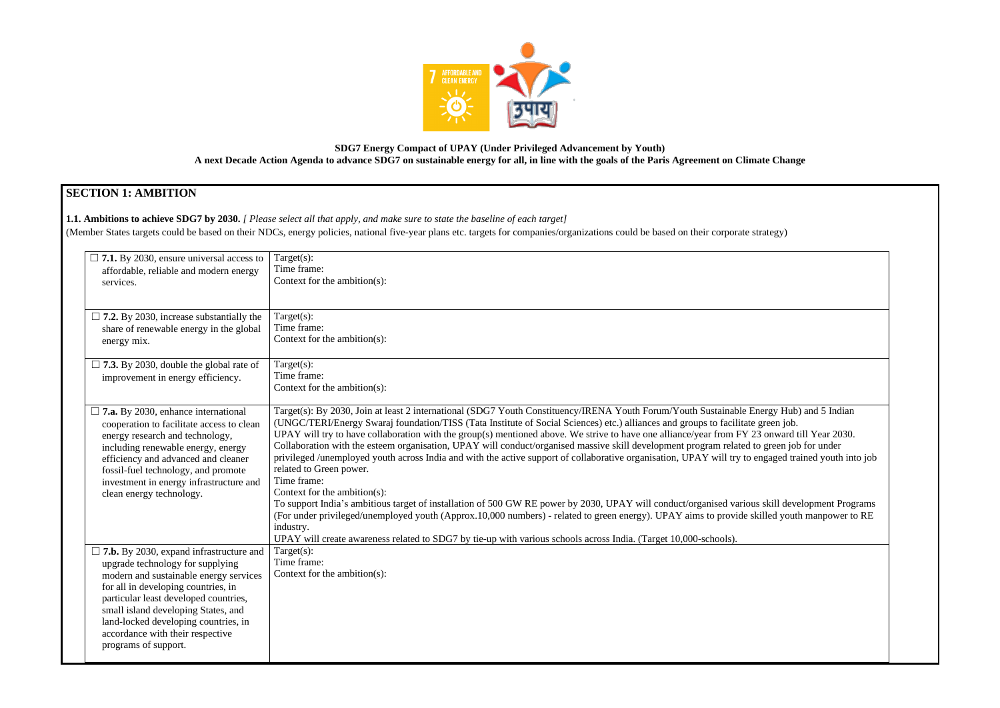

### **SDG7 Energy Compact of UPAY (Under Privileged Advancement by Youth) A next Decade Action Agenda to advance SDG7 on sustainable energy for all, in line with the goals of the Paris Agreement on Climate Change**

# **SECTION 1: AMBITION**

**1.1. Ambitions to achieve SDG7 by 2030.** *[ Please select all that apply, and make sure to state the baseline of each target]* 

(Member States targets could be based on their NDCs, energy policies, national five-year plans etc. targets for companies/organizations could be based on their corporate strategy)

| $\Box$ 7.1. By 2030, ensure universal access to<br>affordable, reliable and modern energy<br>services.                                                                                                                                                                                                                                                  | Target $(s)$ :<br>Time frame:<br>Context for the ambition $(s)$ :                                                                                                                                                                                                                                                                                                                                                                                                                                                                                                                                                                                                                                                                                                                                                                                                                                                                                                                                                                                                                                                                                    |
|---------------------------------------------------------------------------------------------------------------------------------------------------------------------------------------------------------------------------------------------------------------------------------------------------------------------------------------------------------|------------------------------------------------------------------------------------------------------------------------------------------------------------------------------------------------------------------------------------------------------------------------------------------------------------------------------------------------------------------------------------------------------------------------------------------------------------------------------------------------------------------------------------------------------------------------------------------------------------------------------------------------------------------------------------------------------------------------------------------------------------------------------------------------------------------------------------------------------------------------------------------------------------------------------------------------------------------------------------------------------------------------------------------------------------------------------------------------------------------------------------------------------|
| $\Box$ 7.2. By 2030, increase substantially the<br>share of renewable energy in the global<br>energy mix.                                                                                                                                                                                                                                               | Target $(s)$ :<br>Time frame:<br>Context for the ambition(s):                                                                                                                                                                                                                                                                                                                                                                                                                                                                                                                                                                                                                                                                                                                                                                                                                                                                                                                                                                                                                                                                                        |
| $\Box$ 7.3. By 2030, double the global rate of<br>improvement in energy efficiency.                                                                                                                                                                                                                                                                     | Target $(s)$ :<br>Time frame:<br>Context for the ambition $(s)$ :                                                                                                                                                                                                                                                                                                                                                                                                                                                                                                                                                                                                                                                                                                                                                                                                                                                                                                                                                                                                                                                                                    |
| $\square$ 7.a. By 2030, enhance international<br>cooperation to facilitate access to clean<br>energy research and technology,<br>including renewable energy, energy<br>efficiency and advanced and cleaner<br>fossil-fuel technology, and promote<br>investment in energy infrastructure and<br>clean energy technology.                                | Target(s): By 2030, Join at least 2 international (SDG7 Youth Constituency/IRENA Youth Forum/Youth Sustainable Energy Hub<br>(UNGC/TERI/Energy Swaraj foundation/TISS (Tata Institute of Social Sciences) etc.) alliances and groups to facilitate green job.<br>UPAY will try to have collaboration with the group(s) mentioned above. We strive to have one alliance/year from FY 23 onward<br>Collaboration with the esteem organisation, UPAY will conduct/organised massive skill development program related to green jol<br>privileged /unemployed youth across India and with the active support of collaborative organisation, UPAY will try to engaged tra<br>related to Green power.<br>Time frame:<br>Context for the ambition $(s)$ :<br>To support India's ambitious target of installation of 500 GW RE power by 2030, UPAY will conduct/organised various skill dev<br>(For under privileged/unemployed youth (Approx.10,000 numbers) - related to green energy). UPAY aims to provide skilled yout<br>industry.<br>UPAY will create awareness related to SDG7 by tie-up with various schools across India. (Target 10,000-schools). |
| $\Box$ 7.b. By 2030, expand infrastructure and<br>upgrade technology for supplying<br>modern and sustainable energy services<br>for all in developing countries, in<br>particular least developed countries,<br>small island developing States, and<br>land-locked developing countries, in<br>accordance with their respective<br>programs of support. | Target $(s)$ :<br>Time frame:<br>Context for the ambition $(s)$ :                                                                                                                                                                                                                                                                                                                                                                                                                                                                                                                                                                                                                                                                                                                                                                                                                                                                                                                                                                                                                                                                                    |

Energy Hub) and 5 Indian 23 onward till Year 2030. to green job for under engaged trained youth into job

as skill development Programs killed youth manpower to RE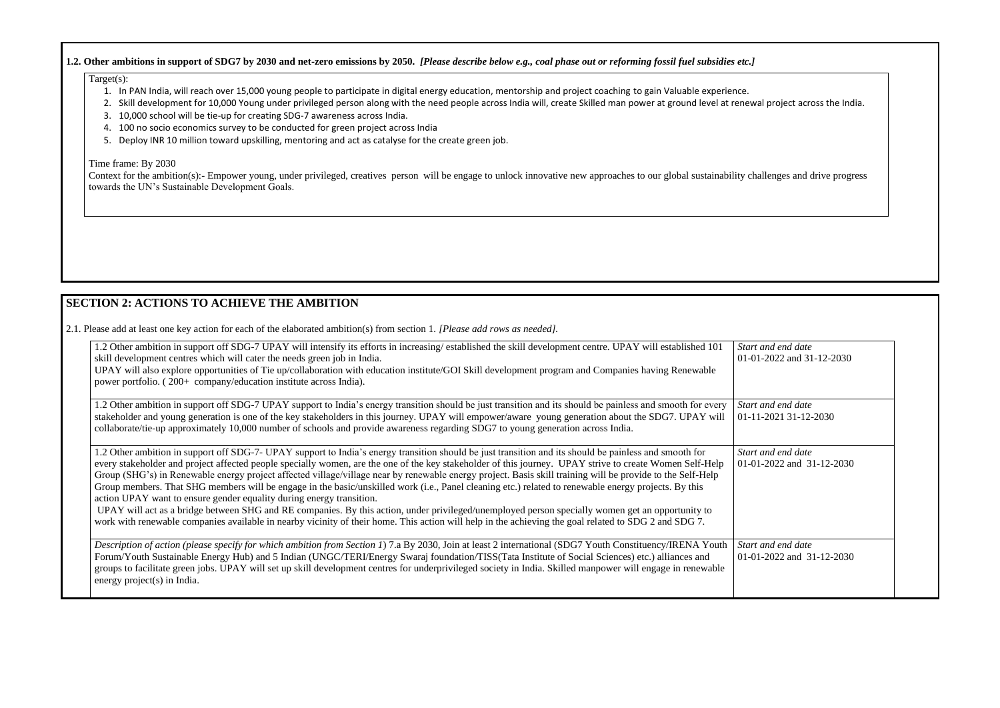#### **1.2. Other ambitions in support of SDG7 by 2030 and net-zero emissions by 2050.** *[Please describe below e.g., coal phase out or reforming fossil fuel subsidies etc.]*

#### Target(s):

- 1. In PAN India, will reach over 15,000 young people to participate in digital energy education, mentorship and project coaching to gain Valuable experience.
- 2. Skill development for 10,000 Young under privileged person along with the need people across India will, create Skilled man power at ground level at renewal project across the India.
- 3. 10,000 school will be tie-up for creating SDG-7 awareness across India.
- 4. 100 no socio economics survey to be conducted for green project across India
- 5. Deploy INR 10 million toward upskilling, mentoring and act as catalyse for the create green job.

#### Time frame: By 2030

Context for the ambition(s):- Empower young, under privileged, creatives person will be engage to unlock innovative new approaches to our global sustainability challenges and drive progress towards the UN's Sustainable Development Goals.

## **SECTION 2: ACTIONS TO ACHIEVE THE AMBITION**

2.1. Please add at least one key action for each of the elaborated ambition(s) from section 1. *[Please add rows as needed].*

*Start and end date*  01-01-2022 and 31-12-2030

*Start and end date*  01-2022 and 31-12-2030

*Start and end date*  01-11-2021 31-12-2030

| 1.2 Other ambition in support off SDG-7 UPAY will intensify its efforts in increasing/established the skill development centre. UPAY will established 101<br>skill development centres which will cater the needs green job in India.                                                                                                                                                                                                                                                                                                                                                                                                                                                                                                                                                                                                                                                                                                                                                                                         | <b>Star</b><br>$01 - 0$ |
|-------------------------------------------------------------------------------------------------------------------------------------------------------------------------------------------------------------------------------------------------------------------------------------------------------------------------------------------------------------------------------------------------------------------------------------------------------------------------------------------------------------------------------------------------------------------------------------------------------------------------------------------------------------------------------------------------------------------------------------------------------------------------------------------------------------------------------------------------------------------------------------------------------------------------------------------------------------------------------------------------------------------------------|-------------------------|
| UPAY will also explore opportunities of Tie up/collaboration with education institute/GOI Skill development program and Companies having Renewable<br>power portfolio. (200+ company/education institute across India).                                                                                                                                                                                                                                                                                                                                                                                                                                                                                                                                                                                                                                                                                                                                                                                                       |                         |
| 1.2 Other ambition in support off SDG-7 UPAY support to India's energy transition should be just transition and its should be painless and smooth for every<br>stakeholder and young generation is one of the key stakeholders in this journey. UPAY will empower/aware young generation about the SDG7. UPAY will<br>collaborate/tie-up approximately 10,000 number of schools and provide awareness regarding SDG7 to young generation across India.                                                                                                                                                                                                                                                                                                                                                                                                                                                                                                                                                                        | <b>Star</b><br>$01-1$   |
| 1.2 Other ambition in support off SDG-7- UPAY support to India's energy transition should be just transition and its should be painless and smooth for<br>every stakeholder and project affected people specially women, are the one of the key stakeholder of this journey. UPAY strive to create Women Self-Help<br>Group (SHG's) in Renewable energy project affected village/village near by renewable energy project. Basis skill training will be provide to the Self-Help<br>Group members. That SHG members will be engage in the basic/unskilled work (i.e., Panel cleaning etc.) related to renewable energy projects. By this<br>action UPAY want to ensure gender equality during energy transition.<br>UPAY will act as a bridge between SHG and RE companies. By this action, under privileged/unemployed person specially women get an opportunity to<br>work with renewable companies available in nearby vicinity of their home. This action will help in the achieving the goal related to SDG 2 and SDG 7. | <b>Star</b><br>$01 - 0$ |
| Description of action (please specify for which ambition from Section 1) 7.a By 2030, Join at least 2 international (SDG7 Youth Constituency/IRENA Youth<br>Forum/Youth Sustainable Energy Hub) and 5 Indian (UNGC/TERI/Energy Swaraj foundation/TISS(Tata Institute of Social Sciences) etc.) alliances and<br>groups to facilitate green jobs. UPAY will set up skill development centres for underprivileged society in India. Skilled manpower will engage in renewable<br>energy project(s) in India.                                                                                                                                                                                                                                                                                                                                                                                                                                                                                                                    | <b>Star</b><br>$01 - 0$ |

*Start and end date*  01-01-2022 and 31-12-2030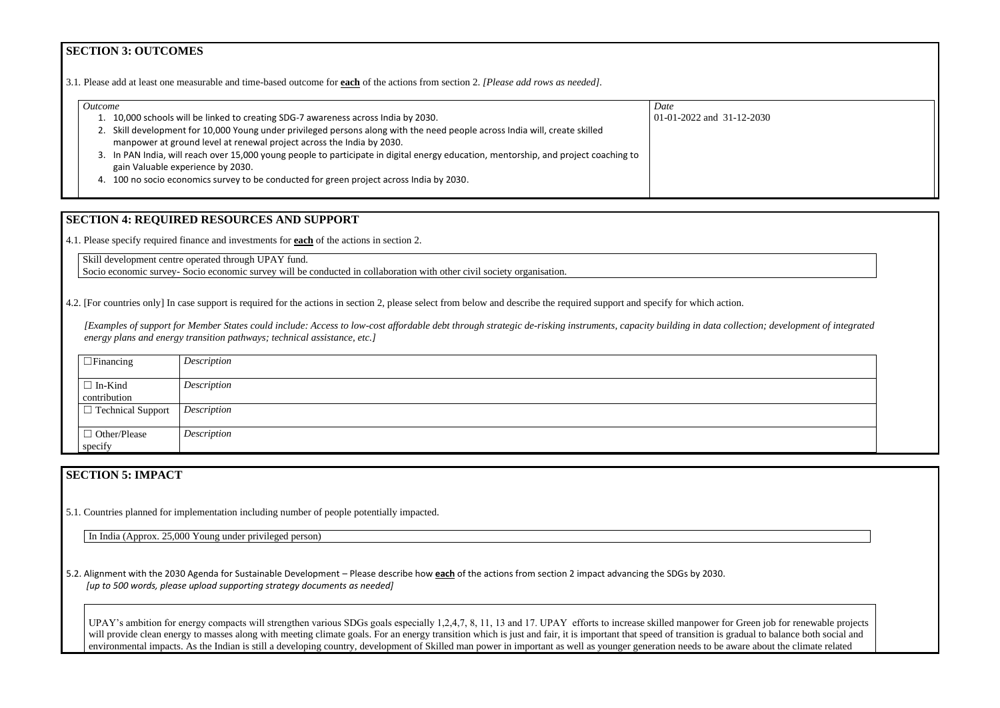### **SECTION 3: OUTCOMES**

3.1*.* Please add at least one measurable and time-based outcome for **each** of the actions from section 2. *[Please add rows as needed].*

| <i>Outcome</i>                                                                                                                                                                                    | Date                      |
|---------------------------------------------------------------------------------------------------------------------------------------------------------------------------------------------------|---------------------------|
| 10,000 schools will be linked to creating SDG-7 awareness across India by 2030.                                                                                                                   | 01-01-2022 and 31-12-2030 |
| Skill development for 10,000 Young under privileged persons along with the need people across India will, create skilled<br>manpower at ground level at renewal project across the India by 2030. |                           |
| 3. In PAN India, will reach over 15,000 young people to participate in digital energy education, mentorship, and project coaching to<br>gain Valuable experience by 2030.                         |                           |
| 4. 100 no socio economics survey to be conducted for green project across India by 2030.                                                                                                          |                           |

*[Examples of support for Member States could include: Access to low-cost affordable debt through strategic de-risking instruments, capacity building in data collectic energy plans and energy transition pathways; technical assistance, etc.]*

## **SECTION 4: REQUIRED RESOURCES AND SUPPORT**

4.1. Please specify required finance and investments for **each** of the actions in section 2.

Skill development centre operated through UPAY fund. Socio economic survey- Socio economic survey will be conducted in collaboration with other civil society organisation.

4.2. [For countries only] In case support is required for the actions in section 2, please select from below and describe the required support and specify for which action.

| $\Box$ Financing               | Description |
|--------------------------------|-------------|
| $\Box$ In-Kind<br>contribution | Description |
| $\Box$ Technical Support       | Description |
| $\Box$ Other/Please<br>specify | Description |

## **SECTION 5: IMPACT**

5.1. Countries planned for implementation including number of people potentially impacted.

In India (Approx. 25,000 Young under privileged person)

5.2. Alignment with the 2030 Agenda for Sustainable Development – Please describe how **each** of the actions from section 2 impact advancing the SDGs by 2030. *[up to 500 words, please upload supporting strategy documents as needed]* 

UPAY's ambition for energy compacts will strengthen various SDGs goals especially 1,2,4,7, 8, 11, 13 and 17. UPAY efforts to increase skilled manpower for Green will provide clean energy to masses along with meeting climate goals. For an energy transition which is just and fair, it is important that speed of transition is gradual environmental impacts. As the Indian is still a developing country, development of Skilled man power in important as well as younger generation needs to be aware a

| 030                                                        |
|------------------------------------------------------------|
|                                                            |
|                                                            |
|                                                            |
|                                                            |
|                                                            |
|                                                            |
|                                                            |
|                                                            |
| on; development of integrated                              |
|                                                            |
|                                                            |
|                                                            |
|                                                            |
|                                                            |
|                                                            |
|                                                            |
|                                                            |
|                                                            |
|                                                            |
| n job for renewable projects<br>to balance both social and |
| about the climate related                                  |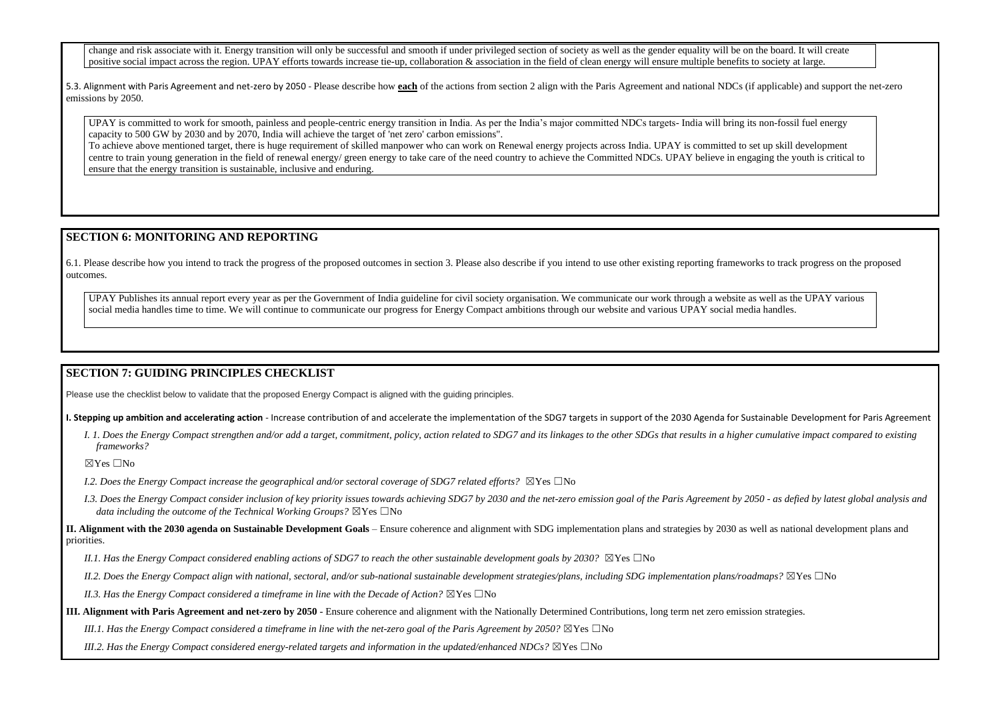change and risk associate with it. Energy transition will only be successful and smooth if under privileged section of society as well as the gender equality will be on the board. It will create positive social impact across the region. UPAY efforts towards increase tie-up, collaboration  $\&$  association in the field of clean energy will ensure multiple benefits to society at large.

5.3. Alignment with Paris Agreement and net-zero by 2050 - Please describe how **each** of the actions from section 2 align with the Paris Agreement and national NDCs (if applicable) and support the net-zero emissions by 2050.

UPAY is committed to work for smooth, painless and people-centric energy transition in India. As per the India's major committed NDCs targets- India will bring its non-fossil fuel energy capacity to 500 GW by 2030 and by 2070, India will achieve the target of 'net zero' carbon emissions".

UPAY Publishes its annual report every year as per the Government of India guideline for civil society organisation. We communicate our work through a website as well as the UPAY various social media handles time to time. We will continue to communicate our progress for Energy Compact ambitions through our website and various UPAY social media handles.

To achieve above mentioned target, there is huge requirement of skilled manpower who can work on Renewal energy projects across India. UPAY is committed to set up skill development centre to train young generation in the field of renewal energy/ green energy to take care of the need country to achieve the Committed NDCs. UPAY believe in engaging the youth is critical to ensure that the energy transition is sustainable, inclusive and enduring.

I. 1. Does the Energy Compact strengthen and/or add a target, commitment, policy, action related to SDG7 and its linkages to the other SDGs that results in a higher cumulative impact compared to existing *frameworks?* 

 $\boxtimes$ Yes  $\Box$ No

- *I.2. Does the Energy Compact increase the geographical and/or sectoral coverage of SDG7 related efforts?* ⊠Yes □No
- 1.3. Does the Energy Compact consider inclusion of key priority issues towards achieving SDG7 by 2030 and the net-zero emission goal of the Paris Agreement by 2050 as defied by latest global analysis and *data including the outcome of the Technical Working Groups?*  $\boxtimes$  Yes  $\Box$  No

## **SECTION 6: MONITORING AND REPORTING**

6.1. Please describe how you intend to track the progress of the proposed outcomes in section 3. Please also describe if you intend to use other existing reporting frameworks to track progress on the proposed outcomes.

## **SECTION 7: GUIDING PRINCIPLES CHECKLIST**

Please use the checklist below to validate that the proposed Energy Compact is aligned with the guiding principles.

**I. Stepping up ambition and accelerating action** - Increase contribution of and accelerate the implementation of the SDG7 targets in support of the 2030 Agenda for Sustainable Development for Paris Agreement

**II. Alignment with the 2030 agenda on Sustainable Development Goals** – Ensure coherence and alignment with SDG implementation plans and strategies by 2030 as well as national development plans and priorities.

*II.1. Has the Energy Compact considered enabling actions of SDG7 to reach the other sustainable development goals by 2030?*  $\boxtimes$ Yes  $\Box$ No

*II.2. Does the Energy Compact align with national, sectoral, and/or sub-national sustainable development strategies/plans, including SDG implementation plans/roadmaps?* ☒Yes ☐No

*II.3. Has the Energy Compact considered a timeframe in line with the Decade of Action?*  $\boxtimes$  Yes  $\Box$ No

**III. Alignment with Paris Agreement and net-zero by 2050** - Ensure coherence and alignment with the Nationally Determined Contributions, long term net zero emission strategies.

*III.1. Has the Energy Compact considered a timeframe in line with the net-zero goal of the Paris Agreement by 2050?* ⊠Yes □No

*III.2. Has the Energy Compact considered energy-related targets and information in the updated/enhanced NDCs?* ⊠Yes □No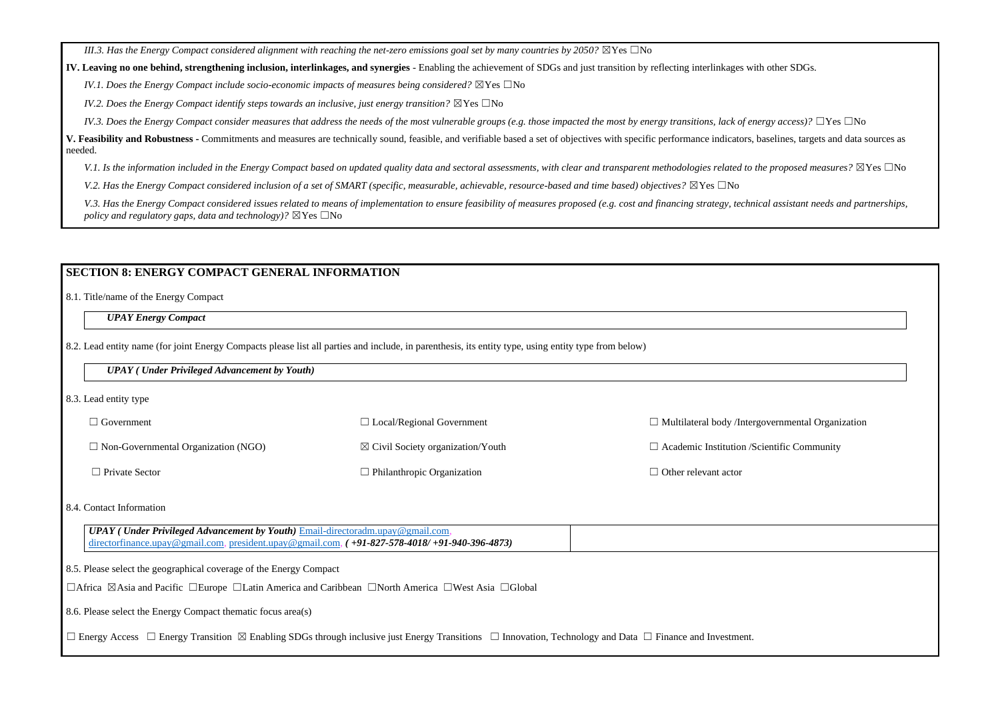*III.3. Has the Energy Compact considered alignment with reaching the net-zero emissions goal set by many countries by 2050?*  $\boxtimes$ Yes  $\Box$ No

**IV. Leaving no one behind, strengthening inclusion, interlinkages, and synergies** - Enabling the achievement of SDGs and just transition by reflecting interlinkages with other SDGs.

*IV.1. Does the Energy Compact include socio-economic impacts of measures being considered?* ⊠Yes □No

*IV.2. Does the Energy Compact identify steps towards an inclusive, just energy transition?* ⊠Yes □No

*IV.3. Does the Energy Compact consider measures that address the needs of the most vulnerable groups (e.g. those impacted the most by energy transitions, lack of energy access)?* □Yes □No

**V. Feasibility and Robustness -** Commitments and measures are technically sound, feasible, and verifiable based a set of objectives with specific performance indicators, baselines, targets and data sources as needed.

V.1. Is the information included in the Energy Compact based on updated quality data and sectoral assessments, with clear and transparent methodologies related to the proposed measures? ⊠Yes □No

*V.2. Has the Energy Compact considered inclusion of a set of SMART (specific, measurable, achievable, resource-based and time based) objectives?* ⊠Yes □No

V.3. Has the Energy Compact considered issues related to means of implementation to ensure feasibility of measures proposed (e.g. cost and financing strategy, technical assistant needs and partnerships, *policy and regulatory gaps, data and technology)?*  $\boxtimes$  Yes  $\Box$ No

| $\Box$ Government                          | $\Box$ Local/Regional Government             | $\Box$ Multilateral body /Intergovernmental Organi |
|--------------------------------------------|----------------------------------------------|----------------------------------------------------|
| $\Box$ Non-Governmental Organization (NGO) | $\boxtimes$ Civil Society organization/Youth | $\Box$ Academic Institution /Scientific Community  |
| $\Box$ Private Sector                      | $\Box$ Philanthropic Organization            | $\Box$ Other relevant actor                        |

*UPAY* (*Under Privileged Advancement by Youth*) *Email-directoradm.upay@gmail.com* [directorfinance.upay@gmail.com,](mailto:directorfinance.upay@gmail.com) [president.upay@gmail.com,](mailto:president.upay@gmail.com) *( +91-827-578-4018/ +91-940-396-4873)*

## **SECTION 8: ENERGY COMPACT GENERAL INFORMATION**

8.1. Title/name of the Energy Compact

*UPAY Energy Compact*

8.2. Lead entity name (for joint Energy Compacts please list all parties and include, in parenthesis, its entity type, using entity type from below)

#### *UPAY ( Under Privileged Advancement by Youth)*

8.3. Lead entity type

| $\Box$ Multilateral body /Intergovernmental Organization |  |
|----------------------------------------------------------|--|
| $\Box$ Academic Institution /Scientific Community        |  |
| $\Box$ Other relevant actor                              |  |
|                                                          |  |
|                                                          |  |
|                                                          |  |
|                                                          |  |
|                                                          |  |
| Finance and Investment.                                  |  |

#### 8.4. Contact Information

8.5. Please select the geographical coverage of the Energy Compact

☐Africa ☒Asia and Pacific ☐Europe ☐Latin America and Caribbean ☐North America ☐West Asia ☐Global

8.6. Please select the Energy Compact thematic focus area(s)

☐ Energy Access ☐ Energy Transition ☒ Enabling SDGs through inclusive just Energy Transitions ☐ Innovation, Technology and Data ☐ Finance and Investment.